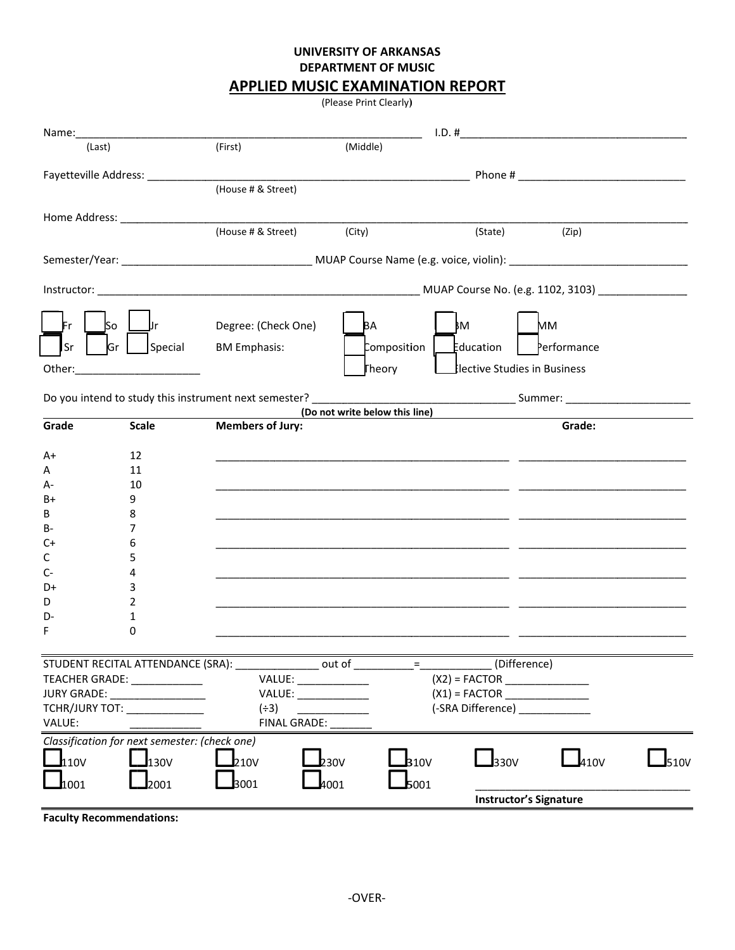## **UNIVERSITY OF ARKANSAS DEPARTMENT OF MUSIC**

## **APPLIED MUSIC EXAMINATION REPORT**

(Please Print Clearly)

| 1.D. #<br>(First)<br>(Middle)<br>(Last)<br>(House # & Street)<br>(House # & Street) (City)<br>(State)<br>(Zip)                                                                                               |                       |  |  |  |                     |
|--------------------------------------------------------------------------------------------------------------------------------------------------------------------------------------------------------------|-----------------------|--|--|--|---------------------|
|                                                                                                                                                                                                              |                       |  |  |  |                     |
|                                                                                                                                                                                                              |                       |  |  |  |                     |
|                                                                                                                                                                                                              |                       |  |  |  |                     |
|                                                                                                                                                                                                              |                       |  |  |  |                     |
|                                                                                                                                                                                                              |                       |  |  |  |                     |
|                                                                                                                                                                                                              |                       |  |  |  |                     |
|                                                                                                                                                                                                              |                       |  |  |  |                     |
|                                                                                                                                                                                                              |                       |  |  |  |                     |
|                                                                                                                                                                                                              |                       |  |  |  |                     |
| J۳<br>lso<br>ķΜ<br>Degree: (Check One)<br>BA<br>MМ                                                                                                                                                           |                       |  |  |  |                     |
| Sr<br>Gr<br>Composition  <br>Special<br><b>BM Emphasis:</b><br>Education<br>Performance                                                                                                                      |                       |  |  |  |                     |
|                                                                                                                                                                                                              |                       |  |  |  |                     |
| Theory<br>lective Studies in Business<br>Other:_________________________                                                                                                                                     |                       |  |  |  |                     |
|                                                                                                                                                                                                              |                       |  |  |  |                     |
| (Do not write below this line)                                                                                                                                                                               |                       |  |  |  |                     |
| <b>Scale</b><br>Grade<br><b>Members of Jury:</b><br>Grade:                                                                                                                                                   |                       |  |  |  |                     |
|                                                                                                                                                                                                              |                       |  |  |  |                     |
| 12<br>A+                                                                                                                                                                                                     |                       |  |  |  |                     |
| 11<br>А                                                                                                                                                                                                      |                       |  |  |  |                     |
| 10<br>А-                                                                                                                                                                                                     |                       |  |  |  |                     |
| B+<br>9                                                                                                                                                                                                      |                       |  |  |  |                     |
| В<br>8                                                                                                                                                                                                       |                       |  |  |  |                     |
| В-<br>7                                                                                                                                                                                                      |                       |  |  |  |                     |
| C+<br>6                                                                                                                                                                                                      |                       |  |  |  |                     |
| с<br>5                                                                                                                                                                                                       |                       |  |  |  |                     |
| C-<br>4                                                                                                                                                                                                      |                       |  |  |  |                     |
| D+<br>3                                                                                                                                                                                                      |                       |  |  |  |                     |
| 2<br>D                                                                                                                                                                                                       |                       |  |  |  |                     |
| D-<br>1                                                                                                                                                                                                      |                       |  |  |  |                     |
| 0<br>F                                                                                                                                                                                                       |                       |  |  |  |                     |
|                                                                                                                                                                                                              |                       |  |  |  |                     |
| $=\underbrace{\qquad \qquad }_{\qquad \qquad \qquad }\qquad \qquad ~~\qquad \qquad ~~$<br>(Difference)<br>STUDENT RECITAL ATTENDANCE (SRA):<br>_____________ out of ____                                     |                       |  |  |  |                     |
| VALUE: _____________<br>TEACHER GRADE: _____________                                                                                                                                                         |                       |  |  |  |                     |
| JURY GRADE: __________________                                                                                                                                                                               | VALUE: ______________ |  |  |  |                     |
| (-SRA Difference) _____________<br>TCHR/JURY TOT: NAMEL CONSIDER A STRING<br>$(+3)$<br><u> 1980 - Johann Barbara, martin a</u>                                                                               |                       |  |  |  |                     |
| FINAL GRADE: ____<br>VALUE:                                                                                                                                                                                  |                       |  |  |  |                     |
| Classification for next semester: (check one)                                                                                                                                                                |                       |  |  |  |                     |
| $\Box$ 410 $\lor$<br>$\mathbf{\mathbf{\underline{J}}}_{110V}$<br>$\mathbf{\mathbf{\underline{J}}}_{330V}$<br>$\mathbf{\mathbf{\perp}}$ <sub>130V</sub><br>$\mathbf{I}_{310V}$<br>$\mathbf{I}_{210V}$<br>230V |                       |  |  |  | $\mathbf{J}_{510V}$ |
|                                                                                                                                                                                                              |                       |  |  |  |                     |
| $\mathbf{\mathbf{\mathbf{\mathbf{1}}}}$ 1001<br>$\mathbf{I}$ 2001<br>4001<br>5001<br>$\mathbf{I}$ 3001<br><b>Instructor's Signature</b>                                                                      |                       |  |  |  |                     |

**Faculty Recommendations:**